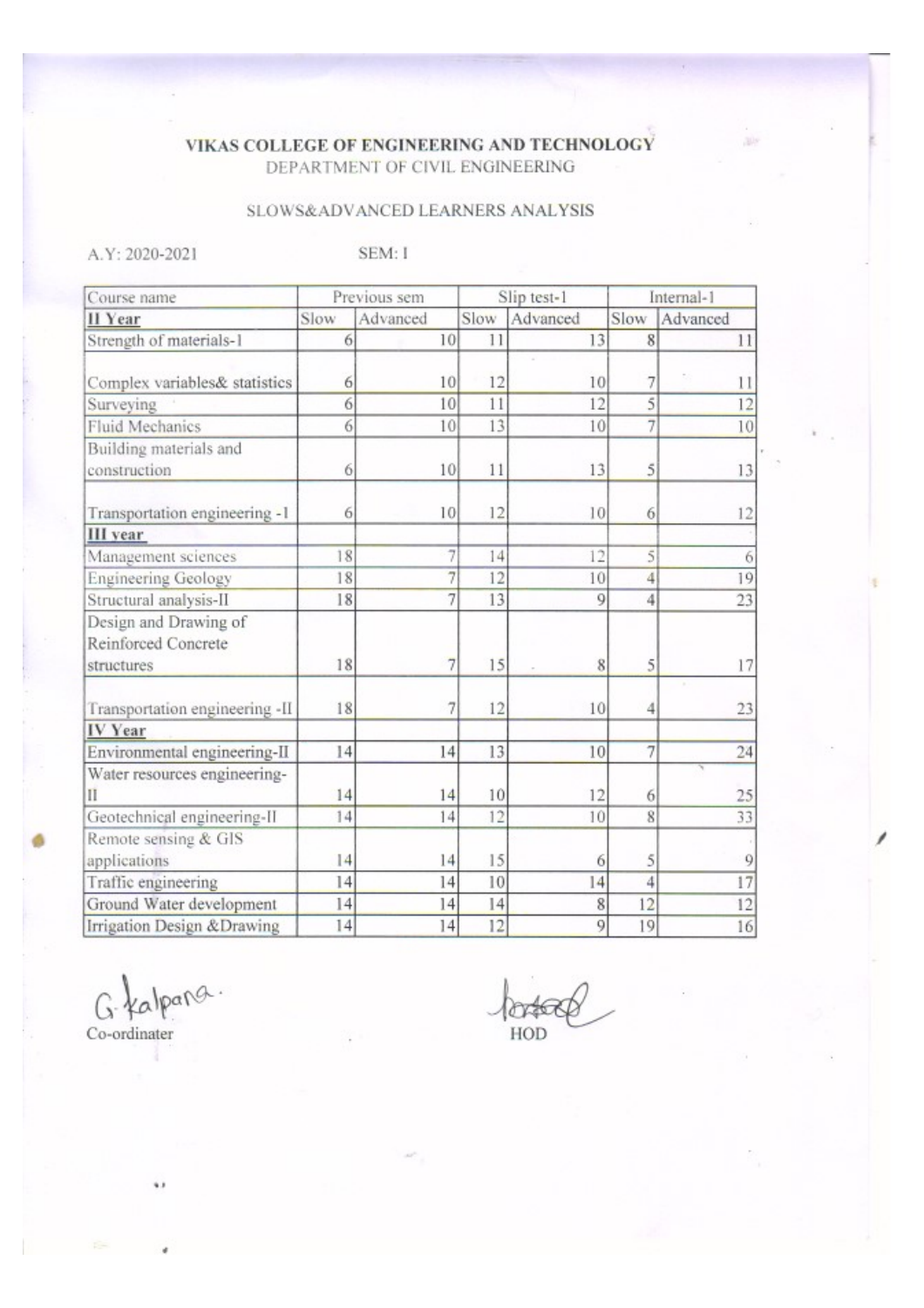## VIKAS COLLEGE OF ENGINEERING AND TECHNOLOGY DEPARTMENT OF CIVIL ENGINEERING

# SLOWS&ADVANCED LEARNERS ANALYSIS

A.Y: 2020-2021

SEM: I

| Previous sem<br>Slip test-1<br>Course name                 |      | Internal-1 |      |          |                   |          |
|------------------------------------------------------------|------|------------|------|----------|-------------------|----------|
| II Year                                                    | Slow | Advanced   | Slow | Advanced | Slow              | Advanced |
| Strength of materials-1                                    | 6    | 10         | 11   | 13       | 8                 | 11       |
| Complex variables& statistics                              | 6    | 10         | 12   | 10       | 7                 | 11       |
| Surveying                                                  | 6    | 10         | 11   | 12       | 5                 | 12       |
| Fluid Mechanics                                            | 6    | 10         | 13   | 10       | 7                 | 10       |
| Building materials and                                     |      |            |      |          |                   |          |
| construction                                               | 6    | 10         | 11   | 13       | 5                 | 13       |
| Transportation engineering -1                              | 6    | 10         | 12   | 10       | 6                 | 12       |
| III year                                                   |      |            |      |          |                   |          |
| Management sciences                                        | 18   | 7          | 14   | 12       | 5                 | 6        |
| <b>Engineering Geology</b>                                 | 18   | 7          | 12   | 10       | 4                 | 19       |
| Structural analysis-II                                     | 18   | 7          | 13   | 9        | 4                 | 23       |
| Design and Drawing of<br>Reinforced Concrete<br>structures | 18   | 7          | 15   | 8        | 5                 | 17       |
| Transportation engineering -II                             | 18   | 7          | 12   | 10       | 4                 | 23       |
| IV Year                                                    |      |            |      |          |                   |          |
| Environmental engineering-II                               | 14   | 14         | 13   | 10       | $\overline{\tau}$ | 24       |
| Water resources engineering-<br>П                          | 14   | 14         | 10   | 12       | 6                 | 25       |
| Geotechnical engineering-II                                | 14   | 14         | 12   | 10       | 8                 | 33       |
| Remote sensing & GIS<br>applications                       | 14   | 14         | 15   | 6        | 5                 | 9        |
| Traffic engineering                                        | 4    | 14         | 10   | 14       | 4                 | 17       |
| Ground Water development                                   | 14   | 14         | 14   | 8        | 12                | 12       |
| Irrigation Design & Drawing                                | 14   | 14         | 12   | 9        | 19                | 16       |

G. Kalpang.

ŵ,

Co-ordinater

Ported HOD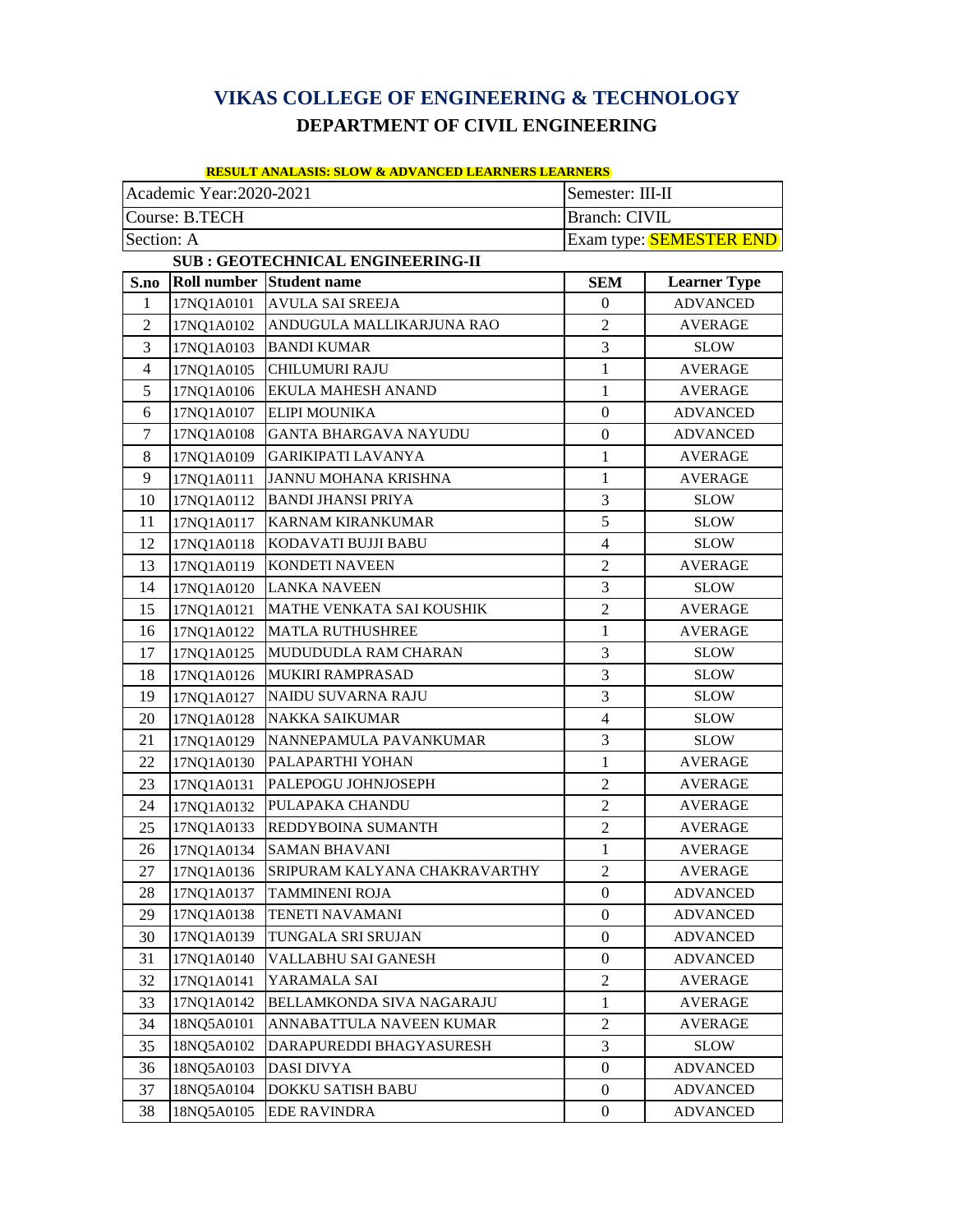# **VIKAS COLLEGE OF ENGINEERING & TECHNOLOGY DEPARTMENT OF CIVIL ENGINEERING**

| <u>RESULT ANALASIS: SLOW &amp; ADVANCED LEARNERS LEARNERS</u> |  |  |
|---------------------------------------------------------------|--|--|
|                                                               |  |  |

| Academic Year:2020-2021<br>Semester: III-II |                |                                          |                      |                                |
|---------------------------------------------|----------------|------------------------------------------|----------------------|--------------------------------|
|                                             | Course: B.TECH |                                          | <b>Branch: CIVIL</b> |                                |
| Section: A                                  |                |                                          |                      | Exam type: <b>SEMESTER END</b> |
|                                             |                | <b>SUB: GEOTECHNICAL ENGINEERING-II</b>  |                      |                                |
| S.no                                        |                | <b>Roll number Student name</b>          | <b>SEM</b>           | <b>Learner Type</b>            |
| $\mathbf{1}$                                |                | 17NQ1A0101 AVULA SAI SREEJA              | $\mathbf{0}$         | <b>ADVANCED</b>                |
| $\overline{2}$                              |                | 17NQ1A0102 ANDUGULA MALLIKARJUNA RAO     | 2                    | <b>AVERAGE</b>                 |
| 3                                           | 17NQ1A0103     | <b>BANDI KUMAR</b>                       | 3                    | SLOW                           |
| $\overline{4}$                              | 17NQ1A0105     | CHILUMURI RAJU                           | $\mathbf{1}$         | <b>AVERAGE</b>                 |
| 5                                           | 17NQ1A0106     | EKULA MAHESH ANAND                       | $\mathbf{1}$         | <b>AVERAGE</b>                 |
| 6                                           | 17NQ1A0107     | <b>ELIPI MOUNIKA</b>                     | $\boldsymbol{0}$     | <b>ADVANCED</b>                |
| 7                                           | 17NQ1A0108     | <b>GANTA BHARGAVA NAYUDU</b>             | $\boldsymbol{0}$     | <b>ADVANCED</b>                |
| 8                                           | 17NQ1A0109     | <b>GARIKIPATI LAVANYA</b>                | 1                    | AVERAGE                        |
| 9                                           | 17NQ1A0111     | JANNU MOHANA KRISHNA                     | 1                    | <b>AVERAGE</b>                 |
| 10                                          | 17NQ1A0112     | <b>BANDI JHANSI PRIYA</b>                | 3                    | <b>SLOW</b>                    |
| 11                                          | 17NQ1A0117     | <b>KARNAM KIRANKUMAR</b>                 | 5                    | <b>SLOW</b>                    |
| 12                                          | 17NQ1A0118     | KODAVATI BUJJI BABU                      | $\overline{4}$       | <b>SLOW</b>                    |
| 13                                          | 17NQ1A0119     | <b>KONDETI NAVEEN</b>                    | 2                    | <b>AVERAGE</b>                 |
| 14                                          |                | 17NQ1A0120 LANKA NAVEEN                  | 3                    | <b>SLOW</b>                    |
| 15                                          | 17NQ1A0121     | MATHE VENKATA SAI KOUSHIK                | $\overline{2}$       | AVERAGE                        |
| 16                                          | 17NQ1A0122     | <b>MATLA RUTHUSHREE</b>                  | 1                    | <b>AVERAGE</b>                 |
| 17                                          | 17NQ1A0125     | MUDUDUDLA RAM CHARAN                     | 3                    | <b>SLOW</b>                    |
| 18                                          | 17NQ1A0126     | <b>MUKIRI RAMPRASAD</b>                  | 3                    | <b>SLOW</b>                    |
| 19                                          | 17NQ1A0127     | NAIDU SUVARNA RAJU                       | 3                    | <b>SLOW</b>                    |
| 20                                          | 17NQ1A0128     | <b>NAKKA SAIKUMAR</b>                    | $\overline{4}$       | <b>SLOW</b>                    |
| 21                                          | 17NQ1A0129     | NANNEPAMULA PAVANKUMAR                   | 3                    | <b>SLOW</b>                    |
| 22                                          | 17NQ1A0130     | PALAPARTHI YOHAN                         | 1                    | <b>AVERAGE</b>                 |
| 23                                          | 17NQ1A0131     | PALEPOGU JOHNJOSEPH                      | $\mathfrak{2}$       | AVERAGE                        |
| 24                                          | 17NQ1A0132     | PULAPAKA CHANDU                          | 2                    | <b>AVERAGE</b>                 |
| 25                                          | 17NQ1A0133     | <b>REDDYBOINA SUMANTH</b>                | $\overline{2}$       | <b>AVERAGE</b>                 |
| 26                                          | 17NQ1A0134     | <b>SAMAN BHAVANI</b>                     | $\mathbf{1}$         | <b>AVERAGE</b>                 |
| 27                                          |                | 17NQ1A0136 SRIPURAM KALYANA CHAKRAVARTHY | $\mathfrak{D}$       | AVERAGE                        |
| 28                                          | 17NQ1A0137     | TAMMINENI ROJA                           | $\Omega$             | <b>ADVANCED</b>                |
| 29                                          | 17NQ1A0138     | TENETI NAVAMANI                          | $\overline{0}$       | <b>ADVANCED</b>                |
| 30                                          | 17NQ1A0139     | TUNGALA SRI SRUJAN                       | $\overline{0}$       | ADVANCED                       |
| 31                                          | 17NQ1A0140     | VALLABHU SAI GANESH                      | $\mathbf{0}$         | <b>ADVANCED</b>                |
| 32                                          | 17NQ1A0141     | YARAMALA SAI                             | $\overline{2}$       | AVERAGE                        |
| 33                                          | 17NQ1A0142     | BELLAMKONDA SIVA NAGARAJU                | $\mathbf{1}$         | AVERAGE                        |
| 34                                          | 18NQ5A0101     | ANNABATTULA NAVEEN KUMAR                 | 2                    | AVERAGE                        |
| 35                                          | 18NQ5A0102     | DARAPUREDDI BHAGYASURESH                 | 3                    | <b>SLOW</b>                    |
| 36                                          | 18NQ5A0103     | DASI DIVYA                               | $\overline{0}$       | <b>ADVANCED</b>                |
| 37                                          | 18NQ5A0104     | DOKKU SATISH BABU                        | $\mathbf{0}$         | ADVANCED                       |
| 38                                          | 18NQ5A0105     | <b>EDE RAVINDRA</b>                      | $\overline{0}$       | <b>ADVANCED</b>                |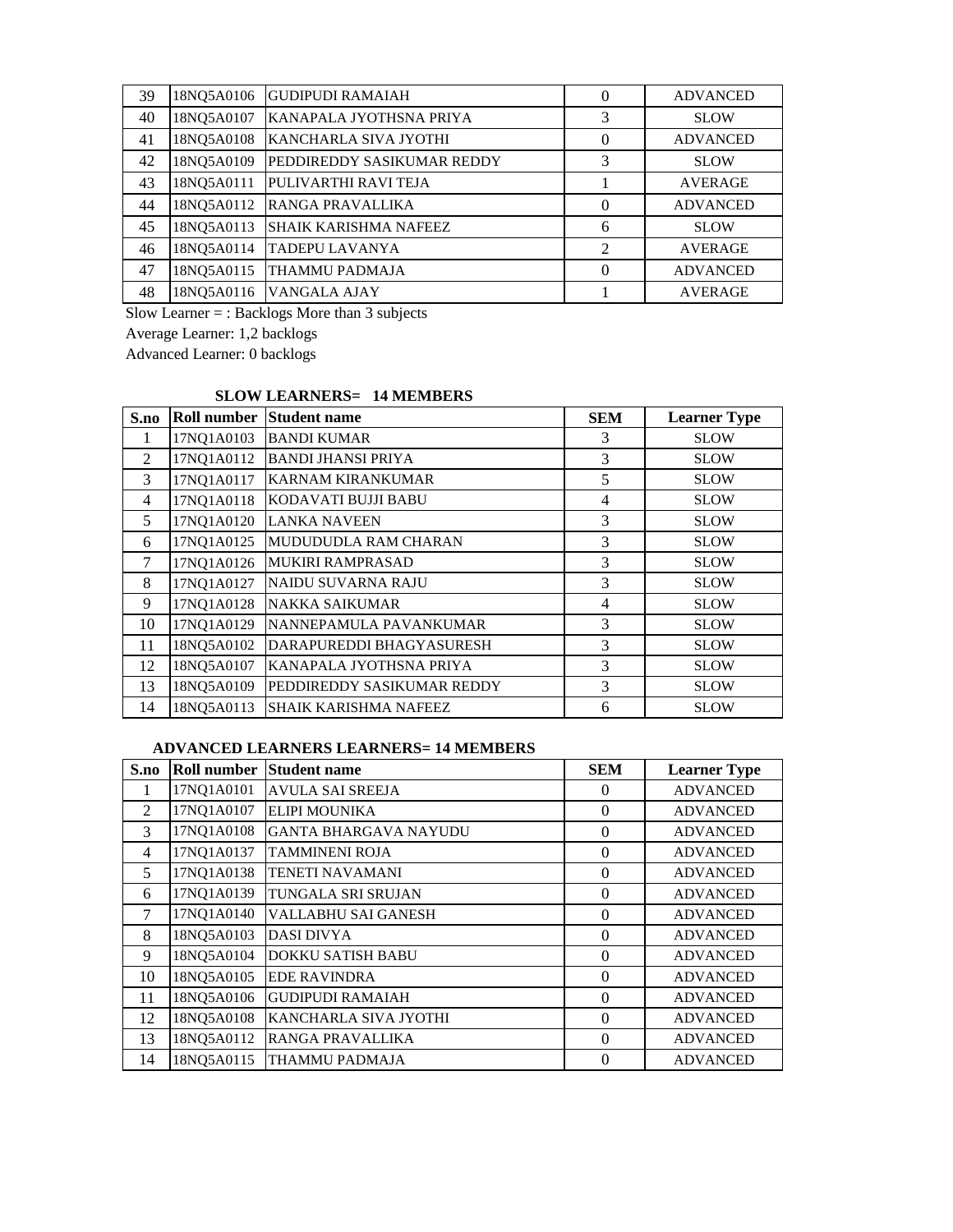| 39 | 18NO5A0106 | <b>GUDIPUDI RAMAIAH</b>      | $\theta$       | <b>ADVANCED</b> |
|----|------------|------------------------------|----------------|-----------------|
| 40 | 18NQ5A0107 | KANAPALA JYOTHSNA PRIYA      | 3              | <b>SLOW</b>     |
| 41 | 18NQ5A0108 | KANCHARLA SIVA JYOTHI        | $\theta$       | <b>ADVANCED</b> |
| 42 | 18NO5A0109 | PEDDIREDDY SASIKUMAR REDDY   | 3              | <b>SLOW</b>     |
| 43 | 18NQ5A0111 | PULIVARTHI RAVI TEJA         |                | <b>AVERAGE</b>  |
| 44 | 18NQ5A0112 | RANGA PRAVALLIKA             | $\theta$       | <b>ADVANCED</b> |
| 45 | 18NQ5A0113 | <b>SHAIK KARISHMA NAFEEZ</b> | 6              | <b>SLOW</b>     |
| 46 | 18NQ5A0114 | <b>TADEPU LAVANYA</b>        | $\overline{c}$ | <b>AVERAGE</b>  |
| 47 | 18NQ5A0115 | <b>THAMMU PADMAJA</b>        | $\theta$       | <b>ADVANCED</b> |
| 48 | 18NQ5A0116 | VANGALA AJAY                 |                | <b>AVERAGE</b>  |

Slow Learner = : Backlogs More than 3 subjects

Average Learner: 1,2 backlogs

Advanced Learner: 0 backlogs

#### **SLOW LEARNERS= 14 MEMBERS**

| S.no | Roll number | <b>Student name</b>          | <b>SEM</b>     | <b>Learner Type</b> |
|------|-------------|------------------------------|----------------|---------------------|
| 1    | 17NQ1A0103  | <b>BANDI KUMAR</b>           | 3              | <b>SLOW</b>         |
| 2    | 17NQ1A0112  | <b>BANDI JHANSI PRIYA</b>    | 3              | <b>SLOW</b>         |
| 3    | 17NQ1A0117  | <b>KARNAM KIRANKUMAR</b>     | 5              | <b>SLOW</b>         |
| 4    | 17NQ1A0118  | KODAVATI BUJJI BABU          | 4              | <b>SLOW</b>         |
| 5    | 17NQ1A0120  | <b>LANKA NAVEEN</b>          | 3              | <b>SLOW</b>         |
| 6    | 17NQ1A0125  | MUDUDUDLA RAM CHARAN         | 3              | <b>SLOW</b>         |
| 7    | 17NQ1A0126  | <b>MUKIRI RAMPRASAD</b>      | 3              | <b>SLOW</b>         |
| 8    | 17NQ1A0127  | NAIDU SUVARNA RAJU           | 3              | <b>SLOW</b>         |
| 9    | 17NQ1A0128  | <b>NAKKA SAIKUMAR</b>        | $\overline{4}$ | <b>SLOW</b>         |
| 10   | 17NQ1A0129  | NANNEPAMULA PAVANKUMAR       | 3              | <b>SLOW</b>         |
| 11   | 18NQ5A0102  | DARAPUREDDI BHAGYASURESH     | 3              | <b>SLOW</b>         |
| 12   | 18NQ5A0107  | KANAPALA JYOTHSNA PRIYA      | 3              | <b>SLOW</b>         |
| 13   | 18NQ5A0109  | PEDDIREDDY SASIKUMAR REDDY   | 3              | <b>SLOW</b>         |
| 14   | 18NO5A0113  | <b>SHAIK KARISHMA NAFEEZ</b> | 6              | <b>SLOW</b>         |

#### **ADVANCED LEARNERS LEARNERS= 14 MEMBERS**

| S.no           |            | <b>Roll number Student name</b> | <b>SEM</b> | <b>Learner Type</b> |
|----------------|------------|---------------------------------|------------|---------------------|
|                | 17NQ1A0101 | <b>AVULA SAI SREEJA</b>         | $\Omega$   | <b>ADVANCED</b>     |
| $\mathfrak{D}$ | 17NQ1A0107 | <b>ELIPI MOUNIKA</b>            | $\Omega$   | <b>ADVANCED</b>     |
| 3              | 17NQ1A0108 | IGANTA BHARGAVA NAYUDU          | $\Omega$   | <b>ADVANCED</b>     |
| 4              | 17NQ1A0137 | <b>TAMMINENI ROJA</b>           | $\Omega$   | <b>ADVANCED</b>     |
| 5              | 17NQ1A0138 | <b>TENETI NAVAMANI</b>          | $\Omega$   | <b>ADVANCED</b>     |
| 6              | 17NQ1A0139 | TUNGALA SRI SRUJAN              | $\Omega$   | <b>ADVANCED</b>     |
| 7              | 17NQ1A0140 | VALLABHU SAI GANESH             | $\Omega$   | <b>ADVANCED</b>     |
| 8              | 18NQ5A0103 | <b>DASI DIVYA</b>               | $\Omega$   | <b>ADVANCED</b>     |
| 9              | 18NQ5A0104 | <b>DOKKU SATISH BABU</b>        | $\Omega$   | <b>ADVANCED</b>     |
| 10             | 18NQ5A0105 | <b>EDE RAVINDRA</b>             | $\Omega$   | <b>ADVANCED</b>     |
| 11             | 18NQ5A0106 | <b>GUDIPUDI RAMAIAH</b>         | $\Omega$   | <b>ADVANCED</b>     |
| 12             | 18NQ5A0108 | KANCHARLA SIVA JYOTHI           | $\Omega$   | <b>ADVANCED</b>     |
| 13             | 18NQ5A0112 | RANGA PRAVALLIKA                | $\Omega$   | <b>ADVANCED</b>     |
| 14             | 18NQ5A0115 | THAMMU PADMAJA                  | $\Omega$   | <b>ADVANCED</b>     |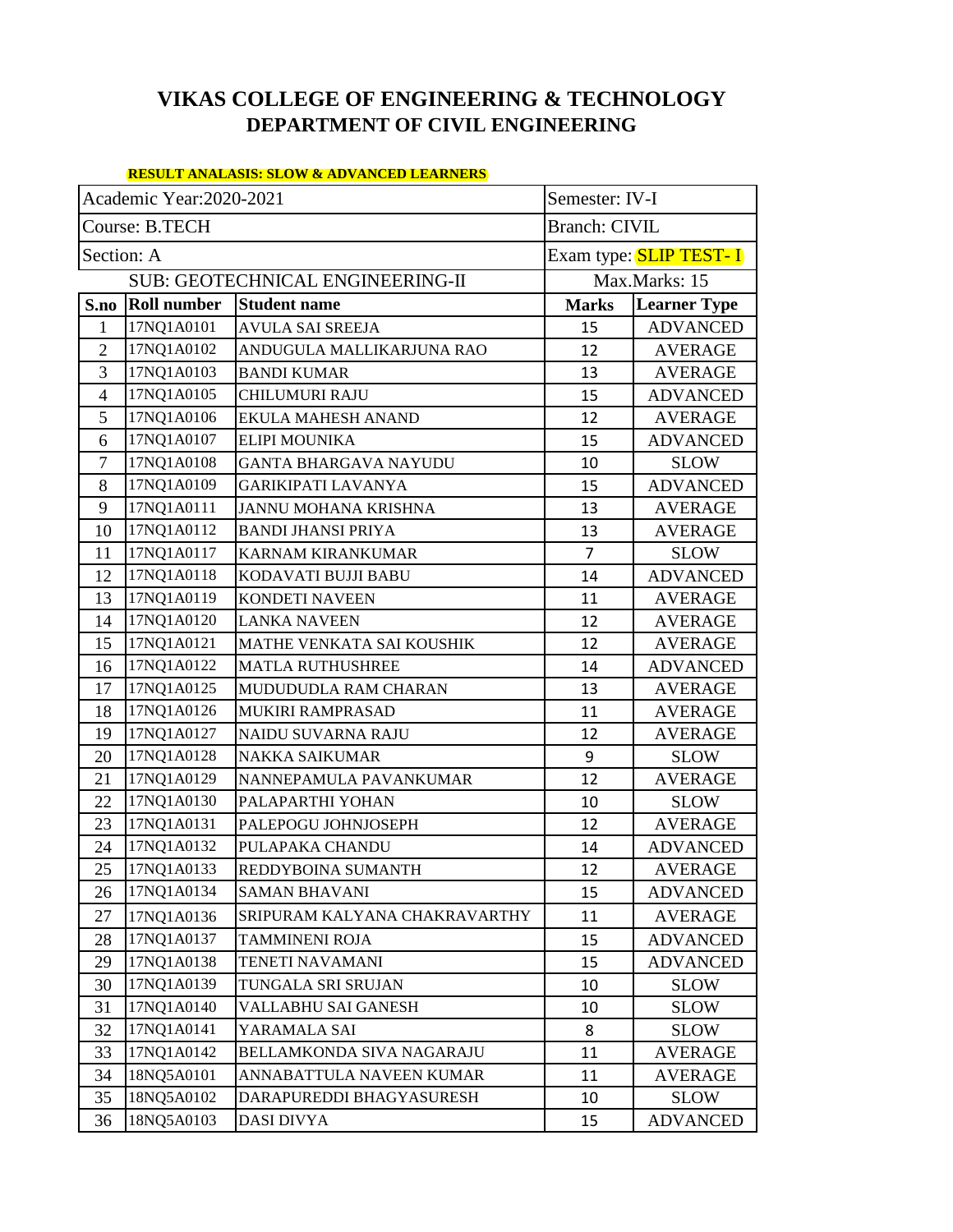# **VIKAS COLLEGE OF ENGINEERING & TECHNOLOGY DEPARTMENT OF CIVIL ENGINEERING**

#### **RESULT ANALASIS: SLOW & ADVANCED LEARNERS**

| Academic Year:2020-2021<br>Semester: IV-I |                    |                                  |                      |                               |
|-------------------------------------------|--------------------|----------------------------------|----------------------|-------------------------------|
|                                           | Course: B.TECH     |                                  | <b>Branch: CIVIL</b> |                               |
| Section: A                                |                    |                                  |                      | Exam type: <b>SLIP TEST-I</b> |
|                                           |                    | SUB: GEOTECHNICAL ENGINEERING-II |                      | Max.Marks: 15                 |
| S.no                                      | <b>Roll number</b> | <b>Student name</b>              | <b>Marks</b>         | <b>Learner Type</b>           |
| 1                                         | 17NQ1A0101         | <b>AVULA SAI SREEJA</b>          | 15                   | <b>ADVANCED</b>               |
| $\overline{2}$                            | 17NQ1A0102         | ANDUGULA MALLIKARJUNA RAO        | 12                   | <b>AVERAGE</b>                |
| 3                                         | 17NQ1A0103         | <b>BANDI KUMAR</b>               | 13                   | <b>AVERAGE</b>                |
| 4                                         | 17NQ1A0105         | <b>CHILUMURI RAJU</b>            | 15                   | <b>ADVANCED</b>               |
| 5                                         | 17NQ1A0106         | EKULA MAHESH ANAND               | 12                   | <b>AVERAGE</b>                |
| 6                                         | 17NQ1A0107         | ELIPI MOUNIKA                    | 15                   | <b>ADVANCED</b>               |
| $\tau$                                    | 17NQ1A0108         | <b>GANTA BHARGAVA NAYUDU</b>     | 10                   | <b>SLOW</b>                   |
| 8                                         | 17NQ1A0109         | GARIKIPATI LAVANYA               | 15                   | <b>ADVANCED</b>               |
| 9                                         | 17NQ1A0111         | JANNU MOHANA KRISHNA             | 13                   | <b>AVERAGE</b>                |
| 10                                        | 17NQ1A0112         | <b>BANDI JHANSI PRIYA</b>        | 13                   | <b>AVERAGE</b>                |
| 11                                        | 17NQ1A0117         | <b>KARNAM KIRANKUMAR</b>         | $\overline{7}$       | <b>SLOW</b>                   |
| 12                                        | 17NQ1A0118         | KODAVATI BUJJI BABU              | 14                   | <b>ADVANCED</b>               |
| 13                                        | 17NQ1A0119         | <b>KONDETI NAVEEN</b>            | 11                   | <b>AVERAGE</b>                |
| 14                                        | 17NQ1A0120         | <b>LANKA NAVEEN</b>              | 12                   | <b>AVERAGE</b>                |
| 15                                        | 17NQ1A0121         | MATHE VENKATA SAI KOUSHIK        | 12                   | <b>AVERAGE</b>                |
| 16                                        | 17NQ1A0122         | <b>MATLA RUTHUSHREE</b>          | 14                   | <b>ADVANCED</b>               |
| 17                                        | 17NQ1A0125         | MUDUDUDLA RAM CHARAN             | 13                   | <b>AVERAGE</b>                |
| 18                                        | 17NQ1A0126         | MUKIRI RAMPRASAD                 | 11                   | <b>AVERAGE</b>                |
| 19                                        | 17NQ1A0127         | NAIDU SUVARNA RAJU               | 12                   | <b>AVERAGE</b>                |
| 20                                        | 17NQ1A0128         | <b>NAKKA SAIKUMAR</b>            | 9                    | <b>SLOW</b>                   |
| 21                                        | 17NQ1A0129         | NANNEPAMULA PAVANKUMAR           | 12                   | <b>AVERAGE</b>                |
| 22                                        | 17NQ1A0130         | PALAPARTHI YOHAN                 | 10                   | <b>SLOW</b>                   |
| 23                                        | 17NQ1A0131         | PALEPOGU JOHNJOSEPH              | 12                   | <b>AVERAGE</b>                |
| 24                                        | 17NQ1A0132         | PULAPAKA CHANDU                  | 14                   | <b>ADVANCED</b>               |
| 25                                        | 17NQ1A0133         | REDDYBOINA SUMANTH               | 12                   | <b>AVERAGE</b>                |
| 26                                        | 17NQ1A0134         | <b>SAMAN BHAVANI</b>             | 15                   | <b>ADVANCED</b>               |
| 27                                        | 17NQ1A0136         | SRIPURAM KALYANA CHAKRAVARTHY    | 11                   | <b>AVERAGE</b>                |
| 28                                        | 17NQ1A0137         | TAMMINENI ROJA                   | 15                   | <b>ADVANCED</b>               |
| 29                                        | 17NQ1A0138         | TENETI NAVAMANI                  | 15                   | <b>ADVANCED</b>               |
| 30                                        | 17NQ1A0139         | TUNGALA SRI SRUJAN               | 10                   | <b>SLOW</b>                   |
| 31                                        | 17NQ1A0140         | VALLABHU SAI GANESH              | 10                   | <b>SLOW</b>                   |
| 32                                        | 17NQ1A0141         | YARAMALA SAI                     | 8                    | <b>SLOW</b>                   |
| 33                                        | 17NQ1A0142         | BELLAMKONDA SIVA NAGARAJU        | 11                   | <b>AVERAGE</b>                |
| 34                                        | 18NQ5A0101         | ANNABATTULA NAVEEN KUMAR         | 11                   | <b>AVERAGE</b>                |
| 35                                        | 18NQ5A0102         | DARAPUREDDI BHAGYASURESH         | 10                   | <b>SLOW</b>                   |
| 36                                        | 18NQ5A0103         | DASI DIVYA                       | 15                   | <b>ADVANCED</b>               |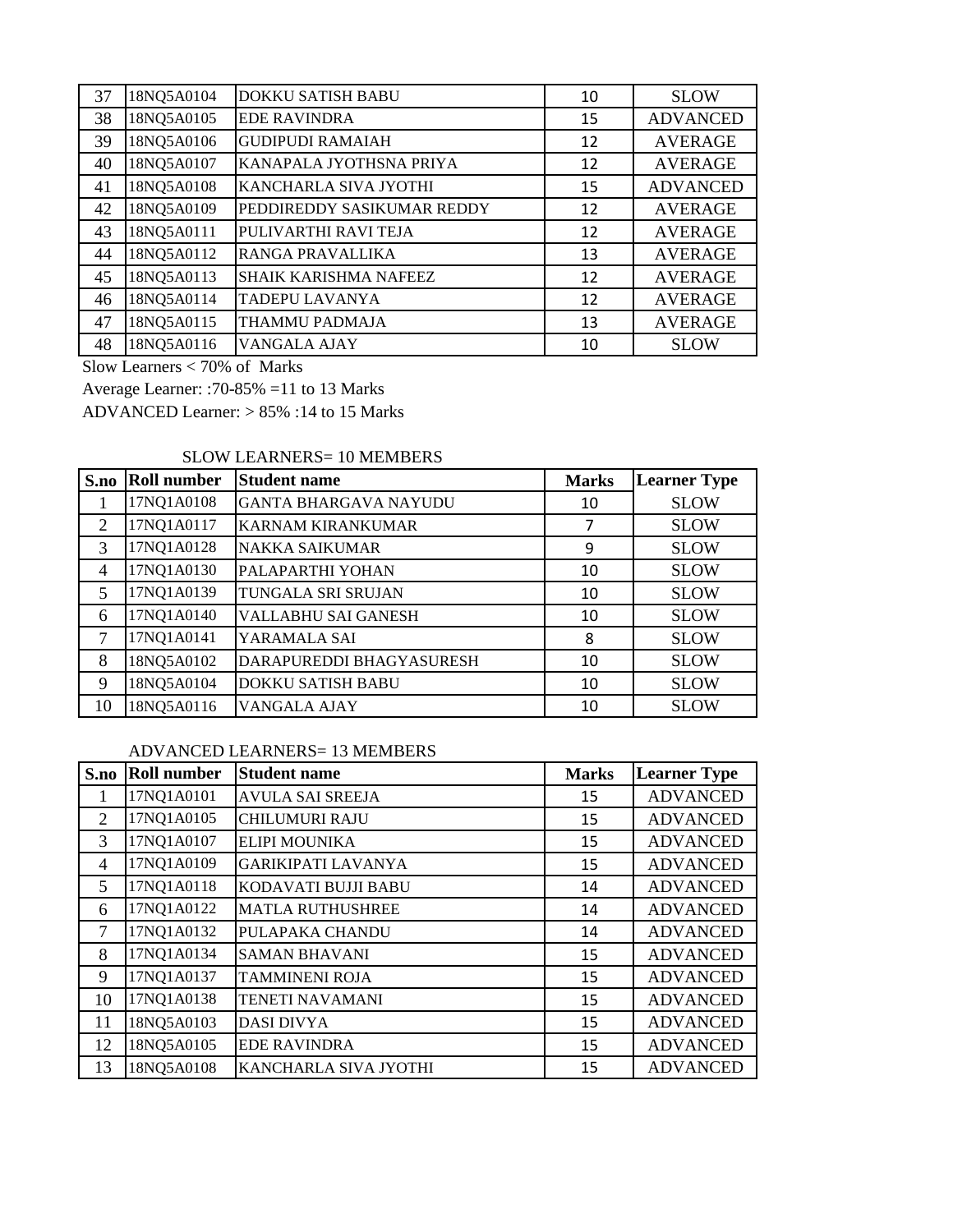| 37 | 18NQ5A0104 | <b>DOKKU SATISH BABU</b>     | 10 | <b>SLOW</b>     |
|----|------------|------------------------------|----|-----------------|
| 38 | 18NQ5A0105 | <b>EDE RAVINDRA</b>          | 15 | <b>ADVANCED</b> |
| 39 | 18NQ5A0106 | <b>GUDIPUDI RAMAIAH</b>      | 12 | <b>AVERAGE</b>  |
| 40 | 18NQ5A0107 | KANAPALA JYOTHSNA PRIYA      | 12 | <b>AVERAGE</b>  |
| 41 | 18NQ5A0108 | KANCHARLA SIVA JYOTHI        | 15 | <b>ADVANCED</b> |
| 42 | 18NQ5A0109 | PEDDIREDDY SASIKUMAR REDDY   | 12 | <b>AVERAGE</b>  |
| 43 | 18NQ5A0111 | PULIVARTHI RAVI TEJA         | 12 | <b>AVERAGE</b>  |
| 44 | 18NQ5A0112 | <b>RANGA PRAVALLIKA</b>      | 13 | <b>AVERAGE</b>  |
| 45 | 18NQ5A0113 | <b>SHAIK KARISHMA NAFEEZ</b> | 12 | <b>AVERAGE</b>  |
| 46 | 18NQ5A0114 | TADEPU LAVANYA               | 12 | <b>AVERAGE</b>  |
| 47 | 18NQ5A0115 | THAMMU PADMAJA               | 13 | <b>AVERAGE</b>  |
| 48 | 18NQ5A0116 | VANGALA AJAY                 | 10 | <b>SLOW</b>     |

Slow Learners < 70% of Marks

Average Learner: :70-85% =11 to 13 Marks

ADVANCED Learner: > 85% :14 to 15 Marks

#### SLOW LEARNERS= 10 MEMBERS

| S.no | <b>Roll number</b> | <b>Student name</b>          | <b>Marks</b> | <b>Learner Type</b> |
|------|--------------------|------------------------------|--------------|---------------------|
|      | 17NQ1A0108         | <b>GANTA BHARGAVA NAYUDU</b> | 10           | <b>SLOW</b>         |
| 2    | 17NQ1A0117         | <b>KARNAM KIRANKUMAR</b>     | 7            | <b>SLOW</b>         |
| 3    | 17NQ1A0128         | <b>NAKKA SAIKUMAR</b>        | 9            | <b>SLOW</b>         |
| 4    | 17NQ1A0130         | PALAPARTHI YOHAN             | 10           | <b>SLOW</b>         |
| 5    | 17NQ1A0139         | TUNGALA SRI SRUJAN           | 10           | <b>SLOW</b>         |
| 6    | 17NQ1A0140         | VALLABHU SAI GANESH          | 10           | <b>SLOW</b>         |
| 7    | 17NQ1A0141         | YARAMALA SAI                 | 8            | <b>SLOW</b>         |
| 8    | 18NQ5A0102         | DARAPUREDDI BHAGYASURESH     | 10           | <b>SLOW</b>         |
| 9    | 18NQ5A0104         | <b>DOKKU SATISH BABU</b>     | 10           | <b>SLOW</b>         |
| 10   | 18NQ5A0116         | VANGALA AJAY                 | 10           | <b>SLOW</b>         |

#### ADVANCED LEARNERS= 13 MEMBERS

| S.no         | <b>Roll number</b> | <b>Student name</b>       | <b>Marks</b> | <b>Learner Type</b> |
|--------------|--------------------|---------------------------|--------------|---------------------|
| $\mathbf{1}$ | 17NQ1A0101         | <b>AVULA SAI SREEJA</b>   | 15           | <b>ADVANCED</b>     |
| 2            | 17NQ1A0105         | <b>CHILUMURI RAJU</b>     | 15           | <b>ADVANCED</b>     |
| 3            | 17NQ1A0107         | <b>ELIPI MOUNIKA</b>      | 15           | <b>ADVANCED</b>     |
| 4            | 17NQ1A0109         | <b>GARIKIPATI LAVANYA</b> | 15           | <b>ADVANCED</b>     |
| 5            | 17NQ1A0118         | KODAVATI BUJJI BABU       | 14           | <b>ADVANCED</b>     |
| 6            | 17NQ1A0122         | <b>MATLA RUTHUSHREE</b>   | 14           | <b>ADVANCED</b>     |
| 7            | 17NQ1A0132         | PULAPAKA CHANDU           | 14           | <b>ADVANCED</b>     |
| 8            | 17NQ1A0134         | <b>SAMAN BHAVANI</b>      | 15           | <b>ADVANCED</b>     |
| 9            | 17NQ1A0137         | <b>TAMMINENI ROJA</b>     | 15           | <b>ADVANCED</b>     |
| 10           | 17NQ1A0138         | <b>TENETI NAVAMANI</b>    | 15           | <b>ADVANCED</b>     |
| 11           | 18NQ5A0103         | <b>DASI DIVYA</b>         | 15           | <b>ADVANCED</b>     |
| 12           | 18NQ5A0105         | <b>EDE RAVINDRA</b>       | 15           | <b>ADVANCED</b>     |
| 13           | 18NQ5A0108         | KANCHARLA SIVA JYOTHI     | 15           | <b>ADVANCED</b>     |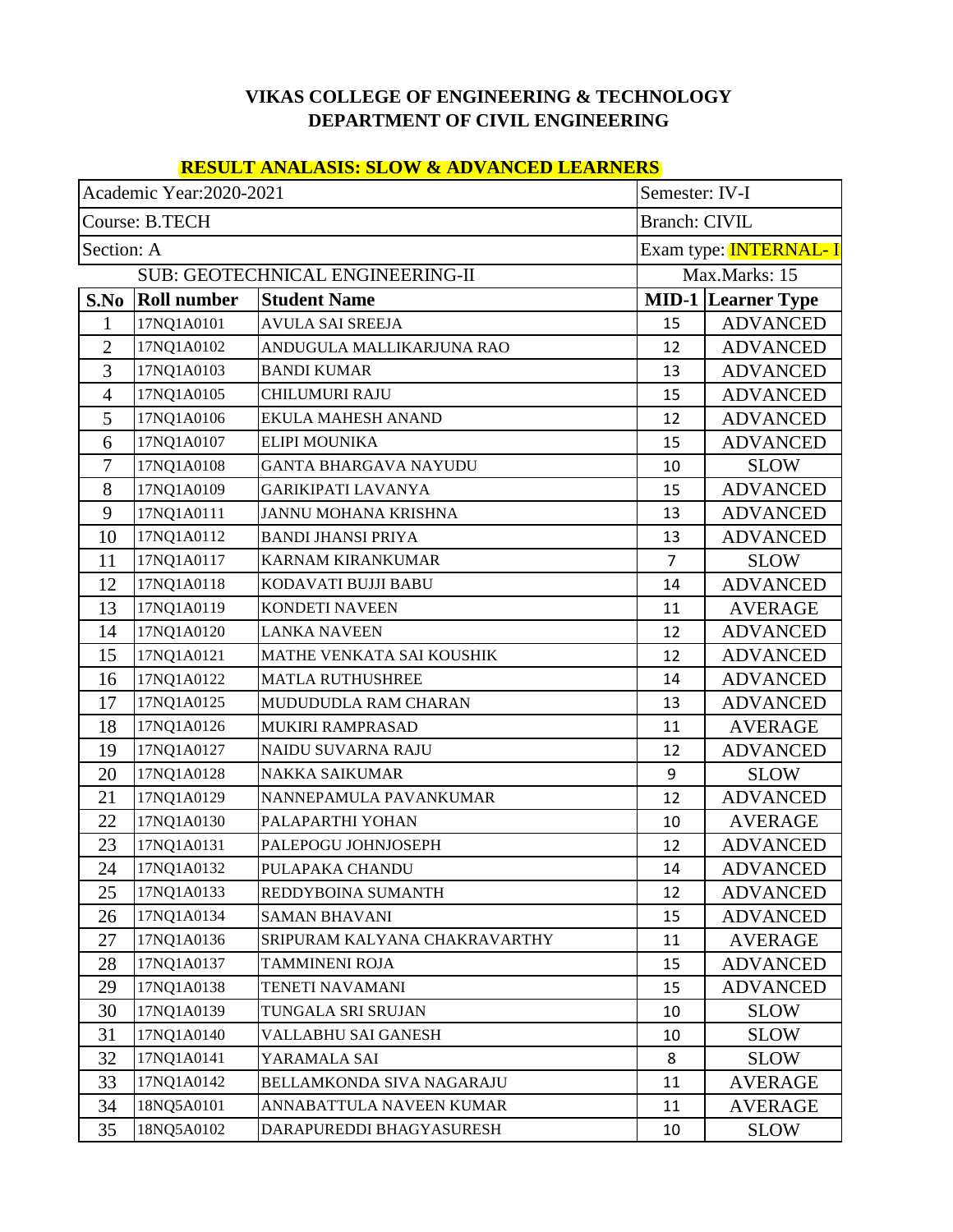### **VIKAS COLLEGE OF ENGINEERING & TECHNOLOGY DEPARTMENT OF CIVIL ENGINEERING**

### **RESULT ANALASIS: SLOW & ADVANCED LEARNERS**

| Academic Year: 2020-2021<br>Semester: IV-I |                    |                                  |                      |                                     |
|--------------------------------------------|--------------------|----------------------------------|----------------------|-------------------------------------|
|                                            | Course: B.TECH     |                                  | <b>Branch: CIVIL</b> |                                     |
| Section: A                                 |                    |                                  |                      | Exam type: <mark>INTERNAL- I</mark> |
|                                            |                    | SUB: GEOTECHNICAL ENGINEERING-II |                      | Max.Marks: 15                       |
| S.No                                       | <b>Roll number</b> | <b>Student Name</b>              |                      | <b>MID-1 Learner Type</b>           |
| 1                                          | 17NQ1A0101         | <b>AVULA SAI SREEJA</b>          | 15                   | <b>ADVANCED</b>                     |
| $\overline{2}$                             | 17NQ1A0102         | ANDUGULA MALLIKARJUNA RAO        | 12                   | <b>ADVANCED</b>                     |
| 3                                          | 17NQ1A0103         | <b>BANDI KUMAR</b>               | 13                   | <b>ADVANCED</b>                     |
| $\overline{4}$                             | 17NQ1A0105         | <b>CHILUMURI RAJU</b>            | 15                   | <b>ADVANCED</b>                     |
| 5                                          | 17NQ1A0106         | EKULA MAHESH ANAND               | 12                   | <b>ADVANCED</b>                     |
| 6                                          | 17NQ1A0107         | <b>ELIPI MOUNIKA</b>             | 15                   | <b>ADVANCED</b>                     |
| 7                                          | 17NQ1A0108         | GANTA BHARGAVA NAYUDU            | 10                   | <b>SLOW</b>                         |
| 8                                          | 17NQ1A0109         | <b>GARIKIPATI LAVANYA</b>        | 15                   | <b>ADVANCED</b>                     |
| 9                                          | 17NQ1A0111         | JANNU MOHANA KRISHNA             | 13                   | <b>ADVANCED</b>                     |
| 10                                         | 17NQ1A0112         | <b>BANDI JHANSI PRIYA</b>        | 13                   | <b>ADVANCED</b>                     |
| 11                                         | 17NQ1A0117         | <b>KARNAM KIRANKUMAR</b>         | $\overline{7}$       | <b>SLOW</b>                         |
| 12                                         | 17NQ1A0118         | KODAVATI BUJJI BABU              | 14                   | <b>ADVANCED</b>                     |
| 13                                         | 17NQ1A0119         | <b>KONDETI NAVEEN</b>            | 11                   | <b>AVERAGE</b>                      |
| 14                                         | 17NQ1A0120         | <b>LANKA NAVEEN</b>              | 12                   | <b>ADVANCED</b>                     |
| 15                                         | 17NQ1A0121         | MATHE VENKATA SAI KOUSHIK        | 12                   | <b>ADVANCED</b>                     |
| 16                                         | 17NQ1A0122         | <b>MATLA RUTHUSHREE</b>          | 14                   | <b>ADVANCED</b>                     |
| 17                                         | 17NQ1A0125         | MUDUDUDLA RAM CHARAN             | 13                   | <b>ADVANCED</b>                     |
| 18                                         | 17NQ1A0126         | MUKIRI RAMPRASAD                 | 11                   | <b>AVERAGE</b>                      |
| 19                                         | 17NQ1A0127         | NAIDU SUVARNA RAJU               | 12                   | <b>ADVANCED</b>                     |
| 20                                         | 17NQ1A0128         | <b>NAKKA SAIKUMAR</b>            | 9                    | <b>SLOW</b>                         |
| 21                                         | 17NQ1A0129         | NANNEPAMULA PAVANKUMAR           | 12                   | <b>ADVANCED</b>                     |
| 22                                         | 17NQ1A0130         | PALAPARTHI YOHAN                 | 10                   | <b>AVERAGE</b>                      |
| 23                                         | 17NQ1A0131         | PALEPOGU JOHNJOSEPH              | 12                   | <b>ADVANCED</b>                     |
| 24                                         | 17NQ1A0132         | PULAPAKA CHANDU                  | 14                   | <b>ADVANCED</b>                     |
| 25                                         | 17NQ1A0133         | REDDYBOINA SUMANTH               | 12                   | <b>ADVANCED</b>                     |
| 26                                         | 17NQ1A0134         | <b>SAMAN BHAVANI</b>             | 15                   | <b>ADVANCED</b>                     |
| 27                                         | 17NQ1A0136         | SRIPURAM KALYANA CHAKRAVARTHY    | 11                   | <b>AVERAGE</b>                      |
| 28                                         | 17NQ1A0137         | TAMMINENI ROJA                   | 15                   | <b>ADVANCED</b>                     |
| 29                                         | 17NQ1A0138         | TENETI NAVAMANI                  | 15                   | <b>ADVANCED</b>                     |
| 30                                         | 17NQ1A0139         | TUNGALA SRI SRUJAN               | 10                   | <b>SLOW</b>                         |
| 31                                         | 17NQ1A0140         | VALLABHU SAI GANESH              | 10                   | <b>SLOW</b>                         |
| 32                                         | 17NQ1A0141         | YARAMALA SAI                     | 8                    | <b>SLOW</b>                         |
| 33                                         | 17NQ1A0142         | BELLAMKONDA SIVA NAGARAJU        | 11                   | <b>AVERAGE</b>                      |
| 34                                         | 18NQ5A0101         | ANNABATTULA NAVEEN KUMAR         | 11                   | <b>AVERAGE</b>                      |
| 35                                         | 18NQ5A0102         | DARAPUREDDI BHAGYASURESH         | 10                   | <b>SLOW</b>                         |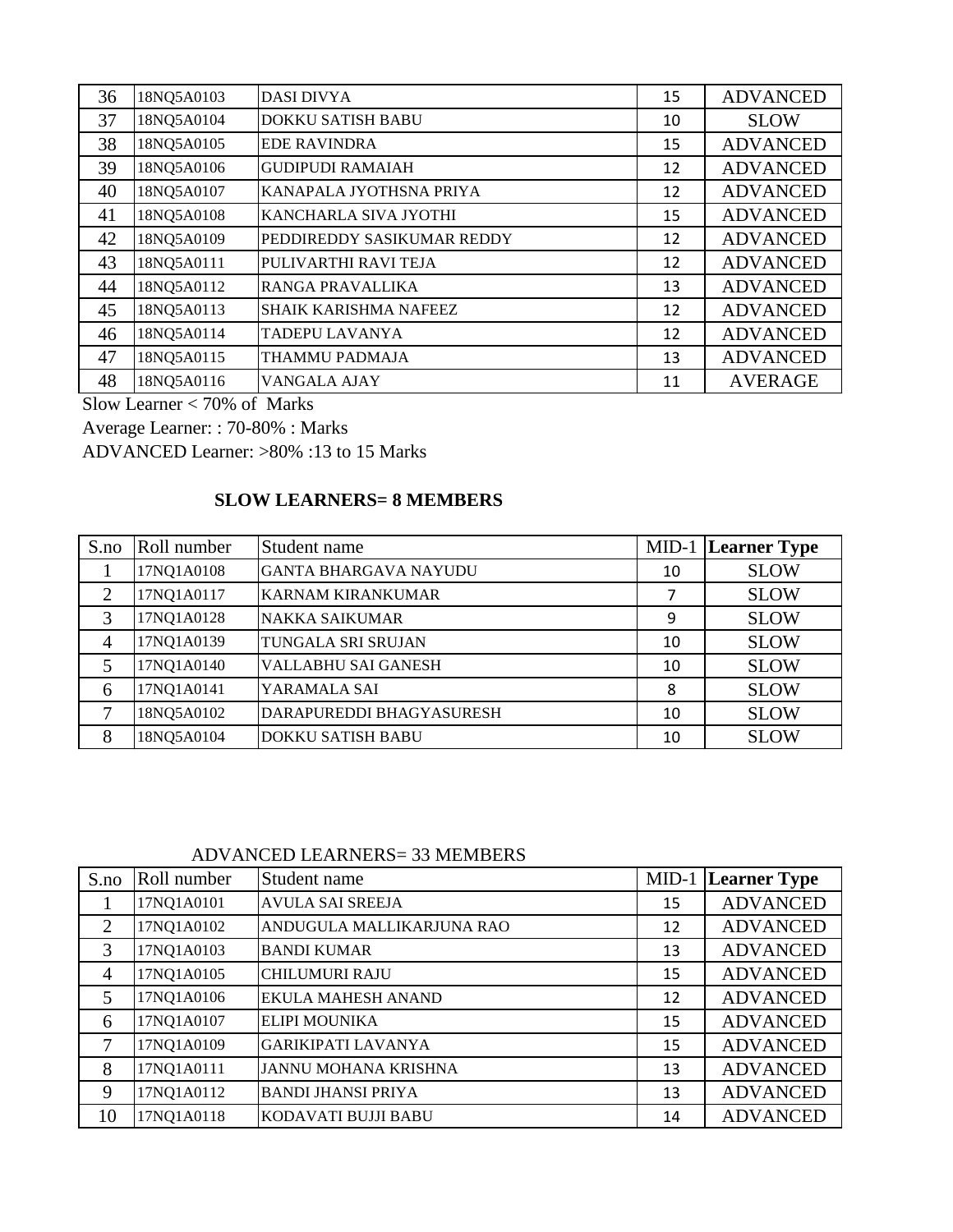| 36 | 18NQ5A0103 | <b>DASI DIVYA</b>          | 15 | <b>ADVANCED</b> |
|----|------------|----------------------------|----|-----------------|
| 37 | 18NQ5A0104 | <b>DOKKU SATISH BABU</b>   | 10 | <b>SLOW</b>     |
| 38 | 18NQ5A0105 | <b>EDE RAVINDRA</b>        | 15 | <b>ADVANCED</b> |
| 39 | 18NQ5A0106 | <b>GUDIPUDI RAMAIAH</b>    | 12 | <b>ADVANCED</b> |
| 40 | 18NQ5A0107 | KANAPALA JYOTHSNA PRIYA    | 12 | <b>ADVANCED</b> |
| 41 | 18NQ5A0108 | KANCHARLA SIVA JYOTHI      | 15 | <b>ADVANCED</b> |
| 42 | 18NQ5A0109 | PEDDIREDDY SASIKUMAR REDDY | 12 | <b>ADVANCED</b> |
| 43 | 18NQ5A0111 | PULIVARTHI RAVI TEJA       | 12 | <b>ADVANCED</b> |
| 44 | 18NQ5A0112 | <b>RANGA PRAVALLIKA</b>    | 13 | <b>ADVANCED</b> |
| 45 | 18NQ5A0113 | SHAIK KARISHMA NAFEEZ      | 12 | <b>ADVANCED</b> |
| 46 | 18NQ5A0114 | TADEPU LAVANYA             | 12 | <b>ADVANCED</b> |
| 47 | 18NQ5A0115 | THAMMU PADMAJA             | 13 | <b>ADVANCED</b> |
| 48 | 18NQ5A0116 | VANGALA AJAY               | 11 | <b>AVERAGE</b>  |

Slow Learner  $< 70\%$  of Marks

Average Learner: : 70-80% : Marks

ADVANCED Learner: >80% :13 to 15 Marks

## **SLOW LEARNERS= 8 MEMBERS**

| S.no           | Roll number | Student name                 |    | <b>MID-1</b> Learner Type |
|----------------|-------------|------------------------------|----|---------------------------|
|                | 17NQ1A0108  | <b>GANTA BHARGAVA NAYUDU</b> | 10 | <b>SLOW</b>               |
| $\overline{2}$ | 17NQ1A0117  | <b>KARNAM KIRANKUMAR</b>     | 7  | <b>SLOW</b>               |
| 3              | 17NQ1A0128  | <b>NAKKA SAIKUMAR</b>        | 9  | <b>SLOW</b>               |
| $\overline{4}$ | 17NQ1A0139  | TUNGALA SRI SRUJAN           | 10 | <b>SLOW</b>               |
| 5              | 17NQ1A0140  | VALLABHU SAI GANESH          | 10 | <b>SLOW</b>               |
| 6              | 17NQ1A0141  | YARAMALA SAI                 | 8  | <b>SLOW</b>               |
| 7              | 18NQ5A0102  | DARAPUREDDI BHAGYASURESH     | 10 | <b>SLOW</b>               |
| 8              | 18NQ5A0104  | <b>DOKKU SATISH BABU</b>     | 10 | <b>SLOW</b>               |

ADVANCED LEARNERS= 33 MEMBERS

| S.no           | Roll number | Student name                |    | <b>MID-1</b> Learner Type |
|----------------|-------------|-----------------------------|----|---------------------------|
|                | 17NQ1A0101  | <b>AVULA SAI SREEJA</b>     | 15 | <b>ADVANCED</b>           |
| $\overline{2}$ | 17NQ1A0102  | ANDUGULA MALLIKARJUNA RAO   | 12 | <b>ADVANCED</b>           |
| 3              | 17NQ1A0103  | <b>BANDI KUMAR</b>          | 13 | <b>ADVANCED</b>           |
| $\overline{4}$ | 17NQ1A0105  | <b>CHILUMURI RAJU</b>       | 15 | <b>ADVANCED</b>           |
| 5              | 17NQ1A0106  | <b>EKULA MAHESH ANAND</b>   | 12 | <b>ADVANCED</b>           |
| 6              | 17NQ1A0107  | <b>ELIPI MOUNIKA</b>        | 15 | <b>ADVANCED</b>           |
| 7              | 17NQ1A0109  | <b>GARIKIPATI LAVANYA</b>   | 15 | <b>ADVANCED</b>           |
| 8              | 17NQ1A0111  | <b>JANNU MOHANA KRISHNA</b> | 13 | <b>ADVANCED</b>           |
| 9              | 17NQ1A0112  | <b>BANDI JHANSI PRIYA</b>   | 13 | <b>ADVANCED</b>           |
| 10             | 17NQ1A0118  | KODAVATI BUJJI BABU         | 14 | <b>ADVANCED</b>           |